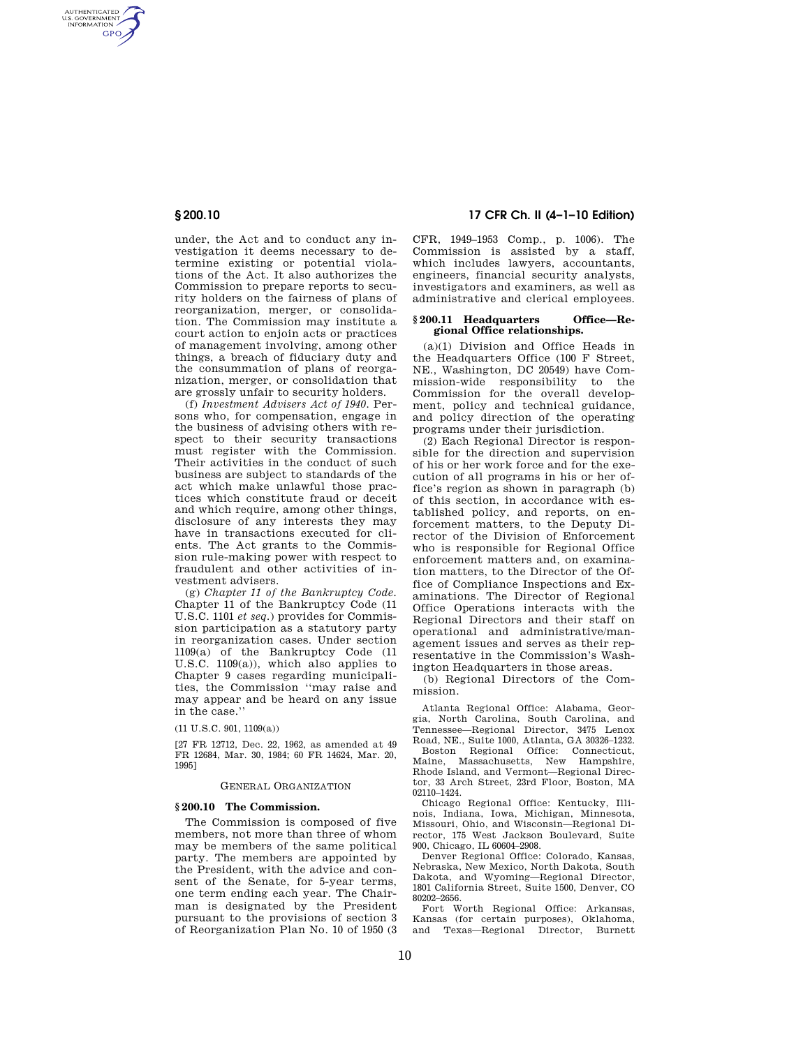AUTHENTICATED<br>U.S. GOVERNMENT<br>INFORMATION **GPO** 

> under, the Act and to conduct any investigation it deems necessary to determine existing or potential violations of the Act. It also authorizes the Commission to prepare reports to security holders on the fairness of plans of reorganization, merger, or consolidation. The Commission may institute a court action to enjoin acts or practices of management involving, among other things, a breach of fiduciary duty and the consummation of plans of reorganization, merger, or consolidation that are grossly unfair to security holders.

> (f) *Investment Advisers Act of 1940.* Persons who, for compensation, engage in the business of advising others with respect to their security transactions must register with the Commission. Their activities in the conduct of such business are subject to standards of the act which make unlawful those practices which constitute fraud or deceit and which require, among other things, disclosure of any interests they may have in transactions executed for clients. The Act grants to the Commission rule-making power with respect to fraudulent and other activities of investment advisers.

> (g) *Chapter 11 of the Bankruptcy Code.*  Chapter 11 of the Bankruptcy Code (11 U.S.C. 1101 *et seq.*) provides for Commission participation as a statutory party in reorganization cases. Under section 1109(a) of the Bankruptcy Code (11 U.S.C. 1109(a)), which also applies to Chapter 9 cases regarding municipalities, the Commission ''may raise and may appear and be heard on any issue in the case.''

(11 U.S.C. 901, 1109(a))

[27 FR 12712, Dec. 22, 1962, as amended at 49 FR 12684, Mar. 30, 1984; 60 FR 14624, Mar. 20, 1995]

#### GENERAL ORGANIZATION

#### **§ 200.10 The Commission.**

The Commission is composed of five members, not more than three of whom may be members of the same political party. The members are appointed by the President, with the advice and consent of the Senate, for 5-year terms, one term ending each year. The Chairman is designated by the President pursuant to the provisions of section 3 of Reorganization Plan No. 10 of 1950 (3

## **§ 200.10 17 CFR Ch. II (4–1–10 Edition)**

CFR, 1949–1953 Comp., p. 1006). The Commission is assisted by a staff, which includes lawyers, accountants, engineers, financial security analysts, investigators and examiners, as well as administrative and clerical employees.

### **§ 200.11 Headquarters Office—Regional Office relationships.**

(a)(1) Division and Office Heads in the Headquarters Office (100 F Street, NE., Washington, DC 20549) have Commission-wide responsibility to the Commission for the overall development, policy and technical guidance, and policy direction of the operating programs under their jurisdiction.

(2) Each Regional Director is responsible for the direction and supervision of his or her work force and for the execution of all programs in his or her office's region as shown in paragraph (b) of this section, in accordance with established policy, and reports, on enforcement matters, to the Deputy Director of the Division of Enforcement who is responsible for Regional Office enforcement matters and, on examination matters, to the Director of the Office of Compliance Inspections and Examinations. The Director of Regional Office Operations interacts with the Regional Directors and their staff on operational and administrative/management issues and serves as their representative in the Commission's Washington Headquarters in those areas.

(b) Regional Directors of the Commission.

Atlanta Regional Office: Alabama, Georgia, North Carolina, South Carolina, and Tennessee—Regional Director, 3475 Lenox Road, NE., Suite 1000, Atlanta, GA 30326–1232. Boston Regional Office: Connecticut, Maine, Massachusetts, New Hampshire, Rhode Island, and Vermont—Regional Director, 33 Arch Street, 23rd Floor, Boston, MA 02110–1424.

Chicago Regional Office: Kentucky, Illinois, Indiana, Iowa, Michigan, Minnesota, Missouri, Ohio, and Wisconsin—Regional Director, 175 West Jackson Boulevard, Suite 900, Chicago, IL 60604–2908.

Denver Regional Office: Colorado, Kansas, Nebraska, New Mexico, North Dakota, South Dakota, and Wyoming—Regional Director, 1801 California Street, Suite 1500, Denver, CO 80202–2656.

Fort Worth Regional Office: Arkansas, Kansas (for certain purposes), Oklahoma, and Texas—Regional Director, Burnett